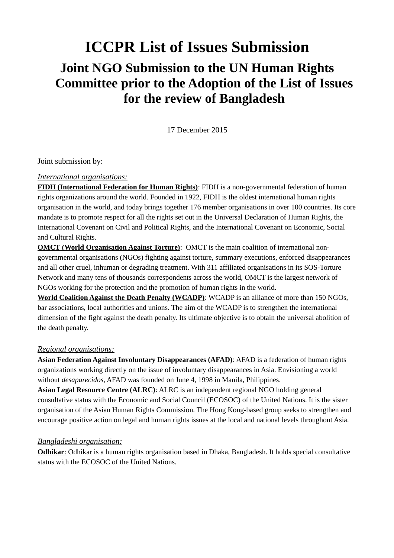# **ICCPR List of Issues Submission Joint NGO Submission to the UN Human Rights Committee prior to the Adoption of the List of Issues for the review of Bangladesh**

17 December 2015

Joint submission by:

#### *International organisations:*

**FIDH (International Federation for Human Rights)**: FIDH is a non-governmental federation of human rights organizations around the world. Founded in 1922, FIDH is the oldest international human rights organisation in the world, and today brings together 176 member organisations in over 100 countries. Its core mandate is to promote respect for all the rights set out in the Universal Declaration of Human Rights, the International Covenant on Civil and Political Rights, and the International Covenant on Economic, Social and Cultural Rights.

**OMCT (World Organisation Against Torture)**: OMCT is the main coalition of international nongovernmental organisations (NGOs) fighting against torture, summary executions, enforced disappearances and all other cruel, inhuman or degrading treatment. With 311 affiliated organisations in its SOS-Torture Network and many tens of thousands correspondents across the world, OMCT is the largest network of NGOs working for the protection and the promotion of human rights in the world.

**World Coalition Against the Death Penalty (WCADP)**: WCADP is an alliance of more than 150 NGOs, bar associations, local authorities and unions. The aim of the WCADP is to strengthen the international dimension of the fight against the death penalty. Its ultimate objective is to obtain the universal abolition of the death penalty.

#### *Regional organisations:*

**Asian Federation Against Involuntary Disappearances (AFAD)**: AFAD is a federation of human rights organizations working directly on the issue of involuntary disappearances in Asia. Envisioning a world without *desaparecidos*, AFAD was founded on June 4, 1998 in Manila, Philippines.

**Asian Legal Resource Centre (ALRC)**: ALRC is an independent regional NGO holding general consultative status with the Economic and Social Council (ECOSOC) of the United Nations. It is the sister organisation of the Asian Human Rights Commission. The Hong Kong-based group seeks to strengthen and encourage positive action on legal and human rights issues at the local and national levels throughout Asia.

#### *Bangladeshi organisation:*

 **Odhikar**: Odhikar is a human rights organisation based in Dhaka, Bangladesh. It holds special consultative status with the ECOSOC of the United Nations.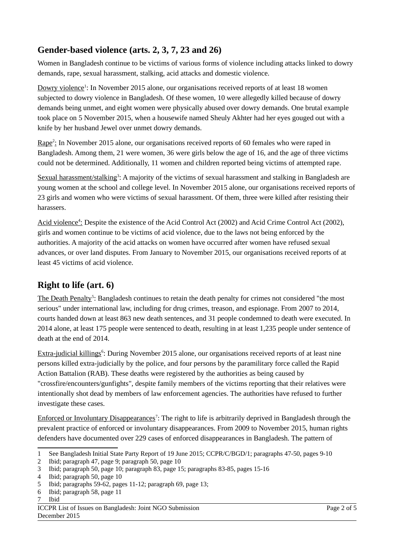### **Gender-based violence (arts. 2, 3, 7, 23 and 26)**

Women in Bangladesh continue to be victims of various forms of violence including attacks linked to dowry demands, rape, sexual harassment, stalking, acid attacks and domestic violence.

Dowry violence<sup>[1](#page-1-0)</sup>: In November 2015 alone, our organisations received reports of at least 18 women subjected to dowry violence in Bangladesh. Of these women, 10 were allegedly killed because of dowry demands being unmet, and eight women were physically abused over dowry demands. One brutal example took place on 5 November 2015, when a housewife named Sheuly Akhter had her eyes gouged out with a knife by her husband Jewel over unmet dowry demands.

Rape<sup>[2](#page-1-1)</sup>: In November 2015 alone, our organisations received reports of 60 females who were raped in Bangladesh. Among them, 21 were women, 36 were girls below the age of 16, and the age of three victims could not be determined. Additionally, 11 women and children reported being victims of attempted rape.

Sexual harassment/stalking<sup>[3](#page-1-2)</sup>: A majority of the victims of sexual harassment and stalking in Bangladesh are young women at the school and college level. In November 2015 alone, our organisations received reports of 23 girls and women who were victims of sexual harassment. Of them, three were killed after resisting their harassers.

Acid violence<sup>4</sup>: Despite the existence of the Acid Control Act (2002) and Acid Crime Control Act (2002), girls and women continue to be victims of acid violence, due to the laws not being enforced by the authorities. A majority of the acid attacks on women have occurred after women have refused sexual advances, or over land disputes. From January to November 2015, our organisations received reports of at least 45 victims of acid violence.

# **Right to life (art. 6)**

The Death Penalty<sup>[5](#page-1-4)</sup>: Bangladesh continues to retain the death penalty for crimes not considered "the most serious" under international law, including for drug crimes, treason, and espionage. From 2007 to 2014, courts handed down at least 863 new death sentences, and 31 people condemned to death were executed. In 2014 alone, at least 175 people were sentenced to death, resulting in at least 1,235 people under sentence of death at the end of 2014.

Extra-judicial killings<sup>[6](#page-1-5)</sup>: During November 2015 alone, our organisations received reports of at least nine persons killed extra-judicially by the police, and four persons by the paramilitary force called the Rapid Action Battalion (RAB). These deaths were registered by the authorities as being caused by "crossfire/encounters/gunfights", despite family members of the victims reporting that their relatives were intentionally shot dead by members of law enforcement agencies. The authorities have refused to further investigate these cases.

Enforced or Involuntary Disappearances<sup>[7](#page-1-6)</sup>: The right to life is arbitrarily deprived in Bangladesh through the prevalent practice of enforced or involuntary disappearances. From 2009 to November 2015, human rights defenders have documented over 229 cases of enforced disappearances in Bangladesh. The pattern of

<span id="page-1-6"></span>7 Ibid

<span id="page-1-0"></span><sup>1</sup> See Bangladesh Initial State Party Report of 19 June 2015; CCPR/C/BGD/1; paragraphs 47-50, pages 9-10

<span id="page-1-1"></span><sup>2</sup> Ibid; paragraph 47, page 9; paragraph 50, page 10

<span id="page-1-2"></span><sup>3</sup> Ibid; paragraph 50, page 10; paragraph 83, page 15; paragraphs 83-85, pages 15-16

<span id="page-1-3"></span><sup>4</sup> Ibid; paragraph 50, page 10

<span id="page-1-4"></span><sup>5</sup> Ibid; paragraphs 59-62, pages 11-12; paragraph 69, page 13;

<span id="page-1-5"></span><sup>6</sup> Ibid; paragraph 58, page 11

ICCPR List of Issues on Bangladesh: Joint NGO Submission Page 2 of 5 December 2015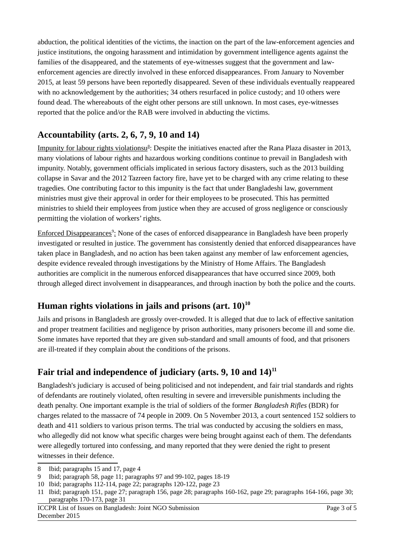abduction, the political identities of the victims, the inaction on the part of the law-enforcement agencies and justice institutions, the ongoing harassment and intimidation by government intelligence agents against the families of the disappeared, and the statements of eye-witnesses suggest that the government and lawenforcement agencies are directly involved in these enforced disappearances. From January to November 2015, at least 59 persons have been reportedly disappeared. Seven of these individuals eventually reappeared with no acknowledgement by the authorities; 34 others resurfaced in police custody; and 10 others were found dead. The whereabouts of the eight other persons are still unknown. In most cases, eye-witnesses reported that the police and/or the RAB were involved in abducting the victims.

### **Accountability (arts. 2, 6, 7, 9, 10 and 14)**

Impunity for labour rights violationsu<sup>[8](#page-2-0)</sup>: Despite the initiatives enacted after the Rana Plaza disaster in 2013, many violations of labour rights and hazardous working conditions continue to prevail in Bangladesh with impunity. Notably, government officials implicated in serious factory disasters, such as the 2013 building collapse in Savar and the 2012 Tazreen factory fire, have yet to be charged with any crime relating to these tragedies. One contributing factor to this impunity is the fact that under Bangladeshi law, government ministries must give their approval in order for their employees to be prosecuted. This has permitted ministries to shield their employees from justice when they are accused of gross negligence or consciously permitting the violation of workers' rights.

Enforced Disappearances<sup>[9](#page-2-1)</sup>: None of the cases of enforced disappearance in Bangladesh have been properly investigated or resulted in justice. The government has consistently denied that enforced disappearances have taken place in Bangladesh, and no action has been taken against any member of law enforcement agencies, despite evidence revealed through investigations by the Ministry of Home Affairs. The Bangladesh authorities are complicit in the numerous enforced disappearances that have occurred since 2009, both through alleged direct involvement in disappearances, and through inaction by both the police and the courts.

# **Human rights violations in jails and prisons (art. 10)[10](#page-2-2)**

Jails and prisons in Bangladesh are grossly over-crowded. It is alleged that due to lack of effective sanitation and proper treatment facilities and negligence by prison authorities, many prisoners become ill and some die. Some inmates have reported that they are given sub-standard and small amounts of food, and that prisoners are ill-treated if they complain about the conditions of the prisons.

# **Fair trial and independence of judiciary (arts. 9, 10 and 14)[11](#page-2-3)**

Bangladesh's judiciary is accused of being politicised and not independent, and fair trial standards and rights of defendants are routinely violated, often resulting in severe and irreversible punishments including the death penalty. One important example is the trial of soldiers of the former *Bangladesh Rifles* (BDR) for charges related to the massacre of 74 people in 2009. On 5 November 2013, a court sentenced 152 soldiers to death and 411 soldiers to various prison terms. The trial was conducted by accusing the soldiers en mass, who allegedly did not know what specific charges were being brought against each of them. The defendants were allegedly tortured into confessing, and many reported that they were denied the right to present witnesses in their defence.

<span id="page-2-0"></span><sup>8</sup> Ibid; paragraphs 15 and 17, page 4

<span id="page-2-1"></span><sup>9</sup> Ibid; paragraph 58, page 11; paragraphs 97 and 99-102, pages 18-19

<span id="page-2-2"></span><sup>10</sup> Ibid; paragraphs 112-114, page 22; paragraphs 120-122, page 23

<span id="page-2-3"></span><sup>11</sup> Ibid; paragraph 151, page 27; paragraph 156, page 28; paragraphs 160-162, page 29; paragraphs 164-166, page 30; paragraphs 170-173, page 31

ICCPR List of Issues on Bangladesh: Joint NGO Submission Page 3 of 5 December 2015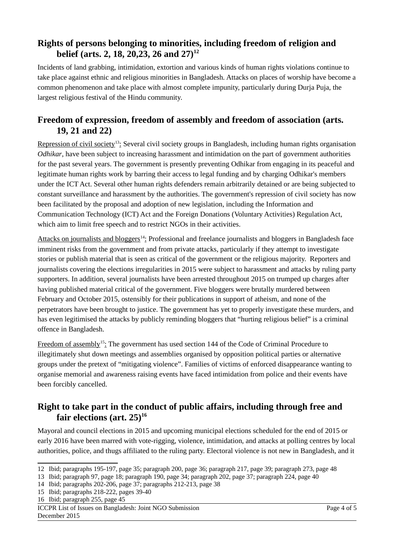#### **Rights of persons belonging to minorities, including freedom of religion and belief (arts. 2, 18, 20,23, 26 and 27)[12](#page-3-0)**

Incidents of land grabbing, intimidation, extortion and various kinds of human rights violations continue to take place against ethnic and religious minorities in Bangladesh. Attacks on places of worship have become a common phenomenon and take place with almost complete impunity, particularly during Durja Puja, the largest religious festival of the Hindu community.

#### **Freedom of expression, freedom of assembly and freedom of association (arts. 19, 21 and 22)**

Repression of civil society<sup>[13](#page-3-1)</sup>: Several civil society groups in Bangladesh, including human rights organisation *Odhikar*, have been subject to increasing harassment and intimidation on the part of government authorities for the past several years. The government is presently preventing Odhikar from engaging in its peaceful and legitimate human rights work by barring their access to legal funding and by charging Odhikar's members under the ICT Act. Several other human rights defenders remain arbitrarily detained or are being subjected to constant surveillance and harassment by the authorities. The government's repression of civil society has now been facilitated by the proposal and adoption of new legislation, including the Information and Communication Technology (ICT) Act and the Foreign Donations (Voluntary Activities) Regulation Act, which aim to limit free speech and to restrict NGOs in their activities.

Attacks on journalists and bloggers<sup>[14](#page-3-2)</sup>: Professional and freelance journalists and bloggers in Bangladesh face imminent risks from the government and from private attacks, particularly if they attempt to investigate stories or publish material that is seen as critical of the government or the religious majority. Reporters and journalists covering the elections irregularities in 2015 were subject to harassment and attacks by ruling party supporters. In addition, several journalists have been arrested throughout 2015 on trumped up charges after having published material critical of the government. Five bloggers were brutally murdered between February and October 2015, ostensibly for their publications in support of atheism, and none of the perpetrators have been brought to justice. The government has yet to properly investigate these murders, and has even legitimised the attacks by publicly reminding bloggers that "hurting religious belief" is a criminal offence in Bangladesh.

Freedom of assembly<sup>[15](#page-3-3)</sup>: The government has used section 144 of the Code of Criminal Procedure to illegitimately shut down meetings and assemblies organised by opposition political parties or alternative groups under the pretext of "mitigating violence". Families of victims of enforced disappearance wanting to organise memorial and awareness raising events have faced intimidation from police and their events have been forcibly cancelled.

#### **Right to take part in the conduct of public affairs, including through free and fair elections (art. 25)[16](#page-3-4)**

Mayoral and council elections in 2015 and upcoming municipal elections scheduled for the end of 2015 or early 2016 have been marred with vote-rigging, violence, intimidation, and attacks at polling centres by local authorities, police, and thugs affiliated to the ruling party. Electoral violence is not new in Bangladesh, and it

<span id="page-3-1"></span>13 Ibid; paragraph 97, page 18; paragraph 190, page 34; paragraph 202, page 37; paragraph 224, page 40

<span id="page-3-0"></span><sup>12</sup> Ibid; paragraphs 195-197, page 35; paragraph 200, page 36; paragraph 217, page 39; paragraph 273, page 48

<span id="page-3-2"></span><sup>14</sup> Ibid; paragraphs 202-206, page 37; paragraphs 212-213, page 38

<span id="page-3-3"></span><sup>15</sup> Ibid; paragraphs 218-222, pages 39-40

<span id="page-3-4"></span><sup>16</sup> Ibid; paragraph 255, page 45

ICCPR List of Issues on Bangladesh: Joint NGO Submission Page 4 of 5 December 2015